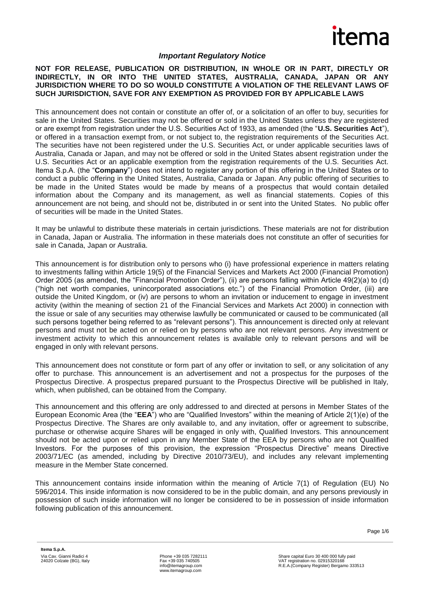

#### *Important Regulatory Notice*

#### **NOT FOR RELEASE, PUBLICATION OR DISTRIBUTION, IN WHOLE OR IN PART, DIRECTLY OR INDIRECTLY, IN OR INTO THE UNITED STATES, AUSTRALIA, CANADA, JAPAN OR ANY JURISDICTION WHERE TO DO SO WOULD CONSTITUTE A VIOLATION OF THE RELEVANT LAWS OF SUCH JURISDICTION, SAVE FOR ANY EXEMPTION AS PROVIDED FOR BY APPLICABLE LAWS**

This announcement does not contain or constitute an offer of, or a solicitation of an offer to buy, securities for sale in the United States. Securities may not be offered or sold in the United States unless they are registered or are exempt from registration under the U.S. Securities Act of 1933, as amended (the "**U.S. Securities Act**"), or offered in a transaction exempt from, or not subject to, the registration requirements of the Securities Act. The securities have not been registered under the U.S. Securities Act, or under applicable securities laws of Australia, Canada or Japan, and may not be offered or sold in the United States absent registration under the U.S. Securities Act or an applicable exemption from the registration requirements of the U.S. Securities Act. Itema S.p.A. (the "**Company**") does not intend to register any portion of this offering in the United States or to conduct a public offering in the United States, Australia, Canada or Japan. Any public offering of securities to be made in the United States would be made by means of a prospectus that would contain detailed information about the Company and its management, as well as financial statements. Copies of this announcement are not being, and should not be, distributed in or sent into the United States. No public offer of securities will be made in the United States.

It may be unlawful to distribute these materials in certain jurisdictions. These materials are not for distribution in Canada, Japan or Australia. The information in these materials does not constitute an offer of securities for sale in Canada, Japan or Australia.

This announcement is for distribution only to persons who (i) have professional experience in matters relating to investments falling within Article 19(5) of the Financial Services and Markets Act 2000 (Financial Promotion) Order 2005 (as amended, the "Financial Promotion Order"), (ii) are persons falling within Article 49(2)(a) to (d) ("high net worth companies, unincorporated associations etc.") of the Financial Promotion Order, (iii) are outside the United Kingdom, or (iv) are persons to whom an invitation or inducement to engage in investment activity (within the meaning of section 21 of the Financial Services and Markets Act 2000) in connection with the issue or sale of any securities may otherwise lawfully be communicated or caused to be communicated (all such persons together being referred to as "relevant persons"). This announcement is directed only at relevant persons and must not be acted on or relied on by persons who are not relevant persons. Any investment or investment activity to which this announcement relates is available only to relevant persons and will be engaged in only with relevant persons.

This announcement does not constitute or form part of any offer or invitation to sell, or any solicitation of any offer to purchase. This announcement is an advertisement and not a prospectus for the purposes of the Prospectus Directive. A prospectus prepared pursuant to the Prospectus Directive will be published in Italy, which, when published, can be obtained from the Company.

This announcement and this offering are only addressed to and directed at persons in Member States of the European Economic Area (the "**EEA**") who are "Qualified Investors" within the meaning of Article 2(1)(e) of the Prospectus Directive. The Shares are only available to, and any invitation, offer or agreement to subscribe, purchase or otherwise acquire Shares will be engaged in only with, Qualified Investors. This announcement should not be acted upon or relied upon in any Member State of the EEA by persons who are not Qualified Investors. For the purposes of this provision, the expression "Prospectus Directive" means Directive 2003/71/EC (as amended, including by Directive 2010/73/EU), and includes any relevant implementing measure in the Member State concerned.

This announcement contains inside information within the meaning of Article 7(1) of Regulation (EU) No 596/2014. This inside information is now considered to be in the public domain, and any persons previously in possession of such inside information will no longer be considered to be in possession of inside information following publication of this announcement.

Page 1/6

Phone +39 035 7282111 Fax +39 035 740505 info@itemagroup.com www.itemagroup.com

Share capital Euro 30 400 000 fully paid VAT registration no. 02915320168 R.E.A.(Company Register) Bergamo 333513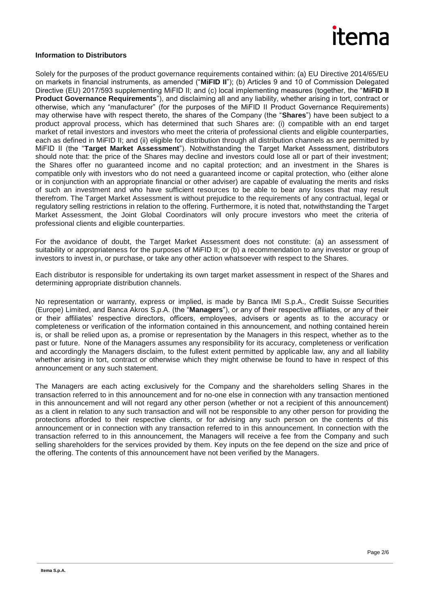

#### **Information to Distributors**

Solely for the purposes of the product governance requirements contained within: (a) EU Directive 2014/65/EU on markets in financial instruments, as amended ("**MiFID II**"); (b) Articles 9 and 10 of Commission Delegated Directive (EU) 2017/593 supplementing MiFID II; and (c) local implementing measures (together, the "**MiFID II Product Governance Requirements**"), and disclaiming all and any liability, whether arising in tort, contract or otherwise, which any "manufacturer" (for the purposes of the MiFID II Product Governance Requirements) may otherwise have with respect thereto, the shares of the Company (the "**Shares**") have been subject to a product approval process, which has determined that such Shares are: (i) compatible with an end target market of retail investors and investors who meet the criteria of professional clients and eligible counterparties, each as defined in MiFID II; and (ii) eligible for distribution through all distribution channels as are permitted by MiFID II (the "**Target Market Assessment**"). Notwithstanding the Target Market Assessment, distributors should note that: the price of the Shares may decline and investors could lose all or part of their investment; the Shares offer no guaranteed income and no capital protection; and an investment in the Shares is compatible only with investors who do not need a guaranteed income or capital protection, who (either alone or in conjunction with an appropriate financial or other adviser) are capable of evaluating the merits and risks of such an investment and who have sufficient resources to be able to bear any losses that may result therefrom. The Target Market Assessment is without prejudice to the requirements of any contractual, legal or regulatory selling restrictions in relation to the offering. Furthermore, it is noted that, notwithstanding the Target Market Assessment, the Joint Global Coordinators will only procure investors who meet the criteria of professional clients and eligible counterparties.

For the avoidance of doubt, the Target Market Assessment does not constitute: (a) an assessment of suitability or appropriateness for the purposes of MiFID II; or (b) a recommendation to any investor or group of investors to invest in, or purchase, or take any other action whatsoever with respect to the Shares.

Each distributor is responsible for undertaking its own target market assessment in respect of the Shares and determining appropriate distribution channels.

No representation or warranty, express or implied, is made by Banca IMI S.p.A., Credit Suisse Securities (Europe) Limited, and Banca Akros S.p.A. (the "**Managers**"), or any of their respective affiliates, or any of their or their affiliates' respective directors, officers, employees, advisers or agents as to the accuracy or completeness or verification of the information contained in this announcement, and nothing contained herein is, or shall be relied upon as, a promise or representation by the Managers in this respect, whether as to the past or future. None of the Managers assumes any responsibility for its accuracy, completeness or verification and accordingly the Managers disclaim, to the fullest extent permitted by applicable law, any and all liability whether arising in tort, contract or otherwise which they might otherwise be found to have in respect of this announcement or any such statement.

The Managers are each acting exclusively for the Company and the shareholders selling Shares in the transaction referred to in this announcement and for no-one else in connection with any transaction mentioned in this announcement and will not regard any other person (whether or not a recipient of this announcement) as a client in relation to any such transaction and will not be responsible to any other person for providing the protections afforded to their respective clients, or for advising any such person on the contents of this announcement or in connection with any transaction referred to in this announcement. In connection with the transaction referred to in this announcement, the Managers will receive a fee from the Company and such selling shareholders for the services provided by them. Key inputs on the fee depend on the size and price of the offering. The contents of this announcement have not been verified by the Managers.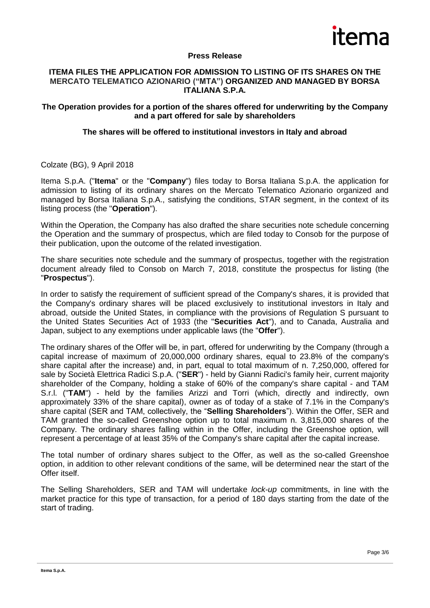

### **Press Release**

#### **ITEMA FILES THE APPLICATION FOR ADMISSION TO LISTING OF ITS SHARES ON THE MERCATO TELEMATICO AZIONARIO ("MTA") ORGANIZED AND MANAGED BY BORSA ITALIANA S.P.A.**

### **The Operation provides for a portion of the shares offered for underwriting by the Company and a part offered for sale by shareholders**

### **The shares will be offered to institutional investors in Italy and abroad**

Colzate (BG), 9 April 2018

Itema S.p.A. ("**Itema**" or the "**Company**") files today to Borsa Italiana S.p.A. the application for admission to listing of its ordinary shares on the Mercato Telematico Azionario organized and managed by Borsa Italiana S.p.A., satisfying the conditions, STAR segment, in the context of its listing process (the "**Operation**").

Within the Operation, the Company has also drafted the share securities note schedule concerning the Operation and the summary of prospectus, which are filed today to Consob for the purpose of their publication, upon the outcome of the related investigation.

The share securities note schedule and the summary of prospectus, together with the registration document already filed to Consob on March 7, 2018, constitute the prospectus for listing (the "**Prospectus**").

In order to satisfy the requirement of sufficient spread of the Company's shares, it is provided that the Company's ordinary shares will be placed exclusively to institutional investors in Italy and abroad, outside the United States, in compliance with the provisions of Regulation S pursuant to the United States Securities Act of 1933 (the "**Securities Act**"), and to Canada, Australia and Japan, subject to any exemptions under applicable laws (the "**Offer**").

The ordinary shares of the Offer will be, in part, offered for underwriting by the Company (through a capital increase of maximum of 20,000,000 ordinary shares, equal to 23.8% of the company's share capital after the increase) and, in part, equal to total maximum of n. 7,250,000, offered for sale by Società Elettrica Radici S.p.A. ("**SER**") - held by Gianni Radici's family heir, current majority shareholder of the Company, holding a stake of 60% of the company's share capital - and TAM S.r.l. ("**TAM**") - held by the families Arizzi and Torri (which, directly and indirectly, own approximately 33% of the share capital), owner as of today of a stake of 7.1% in the Company's share capital (SER and TAM, collectively, the "**Selling Shareholders**"). Within the Offer, SER and TAM granted the so-called Greenshoe option up to total maximum n. 3,815,000 shares of the Company. The ordinary shares falling within in the Offer, including the Greenshoe option, will represent a percentage of at least 35% of the Company's share capital after the capital increase.

The total number of ordinary shares subject to the Offer, as well as the so-called Greenshoe option, in addition to other relevant conditions of the same, will be determined near the start of the Offer itself.

The Selling Shareholders, SER and TAM will undertake *lock-up* commitments, in line with the market practice for this type of transaction, for a period of 180 days starting from the date of the start of trading.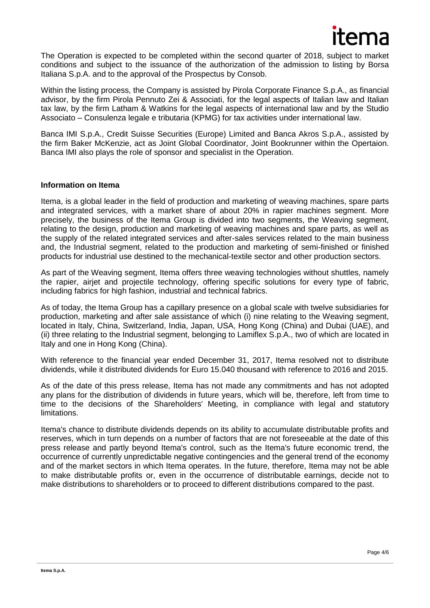

The Operation is expected to be completed within the second quarter of 2018, subject to market conditions and subject to the issuance of the authorization of the admission to listing by Borsa Italiana S.p.A. and to the approval of the Prospectus by Consob.

Within the listing process, the Company is assisted by Pirola Corporate Finance S.p.A., as financial advisor, by the firm Pirola Pennuto Zei & Associati, for the legal aspects of Italian law and Italian tax law, by the firm Latham & Watkins for the legal aspects of international law and by the Studio Associato – Consulenza legale e tributaria (KPMG) for tax activities under international law.

Banca IMI S.p.A., Credit Suisse Securities (Europe) Limited and Banca Akros S.p.A., assisted by the firm Baker McKenzie, act as Joint Global Coordinator, Joint Bookrunner within the Opertaion. Banca IMI also plays the role of sponsor and specialist in the Operation.

#### **Information on Itema**

Itema, is a global leader in the field of production and marketing of weaving machines, spare parts and integrated services, with a market share of about 20% in rapier machines segment. More precisely, the business of the Itema Group is divided into two segments, the Weaving segment, relating to the design, production and marketing of weaving machines and spare parts, as well as the supply of the related integrated services and after-sales services related to the main business and, the Industrial segment, related to the production and marketing of semi-finished or finished products for industrial use destined to the mechanical-textile sector and other production sectors.

As part of the Weaving segment, Itema offers three weaving technologies without shuttles, namely the rapier, airjet and projectile technology, offering specific solutions for every type of fabric, including fabrics for high fashion, industrial and technical fabrics.

As of today, the Itema Group has a capillary presence on a global scale with twelve subsidiaries for production, marketing and after sale assistance of which (i) nine relating to the Weaving segment, located in Italy, China, Switzerland, India, Japan, USA, Hong Kong (China) and Dubai (UAE), and (ii) three relating to the Industrial segment, belonging to Lamiflex S.p.A., two of which are located in Italy and one in Hong Kong (China).

With reference to the financial year ended December 31, 2017, Itema resolved not to distribute dividends, while it distributed dividends for Euro 15.040 thousand with reference to 2016 and 2015.

As of the date of this press release, Itema has not made any commitments and has not adopted any plans for the distribution of dividends in future years, which will be, therefore, left from time to time to the decisions of the Shareholders' Meeting, in compliance with legal and statutory limitations.

Itema's chance to distribute dividends depends on its ability to accumulate distributable profits and reserves, which in turn depends on a number of factors that are not foreseeable at the date of this press release and partly beyond Itema's control, such as the Itema's future economic trend, the occurrence of currently unpredictable negative contingencies and the general trend of the economy and of the market sectors in which Itema operates. In the future, therefore, Itema may not be able to make distributable profits or, even in the occurrence of distributable earnings, decide not to make distributions to shareholders or to proceed to different distributions compared to the past.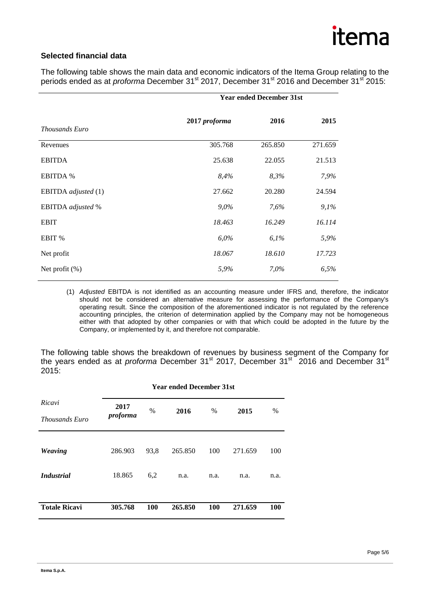# itema

## **Selected financial data**

The following table shows the main data and economic indicators of the Itema Group relating to the periods ended as at *proforma* December 31<sup>st</sup> 2017, December 31<sup>st</sup> 2016 and December 31<sup>st</sup> 2015:

|                     | <b>Year ended December 31st</b> |         |         |  |
|---------------------|---------------------------------|---------|---------|--|
| Thousands Euro      | 2017 proforma                   | 2016    | 2015    |  |
| Revenues            | 305.768                         | 265.850 | 271.659 |  |
| <b>EBITDA</b>       | 25.638                          | 22.055  | 21.513  |  |
| <b>EBITDA %</b>     | 8,4%                            | 8,3%    | 7,9%    |  |
| EBITDA adjusted (1) | 27.662                          | 20.280  | 24.594  |  |
| EBITDA adjusted %   | 9,0%                            | 7,6%    | 9,1%    |  |
| <b>EBIT</b>         | 18.463                          | 16.249  | 16.114  |  |
| EBIT %              | $6,0\%$                         | 6,1%    | 5,9%    |  |
| Net profit          | 18.067                          | 18.610  | 17.723  |  |
| Net profit $(\%)$   | 5,9%                            | 7,0%    | 6,5%    |  |

(1) *Adjusted* EBITDA is not identified as an accounting measure under IFRS and, therefore, the indicator should not be considered an alternative measure for assessing the performance of the Company's operating result. Since the composition of the aforementioned indicator is not regulated by the reference accounting principles, the criterion of determination applied by the Company may not be homogeneous either with that adopted by other companies or with that which could be adopted in the future by the Company, or implemented by it, and therefore not comparable.

The following table shows the breakdown of revenues by business segment of the Company for the years ended as at *proforma* December 31<sup>st</sup> 2017, December 31<sup>st</sup> 2016 and December 31<sup>st</sup> 2015:

|                                 | <b>Year ended December 31st</b> |      |         |            |         |      |  |
|---------------------------------|---------------------------------|------|---------|------------|---------|------|--|
| Ricavi<br><b>Thousands Euro</b> | 2017<br>proforma                | $\%$ | 2016    | %          | 2015    | $\%$ |  |
| <b>Weaving</b>                  | 286.903                         | 93,8 | 265.850 | 100        | 271.659 | 100  |  |
| <b>Industrial</b>               | 18.865                          | 6,2  | n.a.    | n.a.       | n.a.    | n.a. |  |
| <b>Totale Ricavi</b>            | 305.768                         | 100  | 265.850 | <b>100</b> | 271.659 | 100  |  |